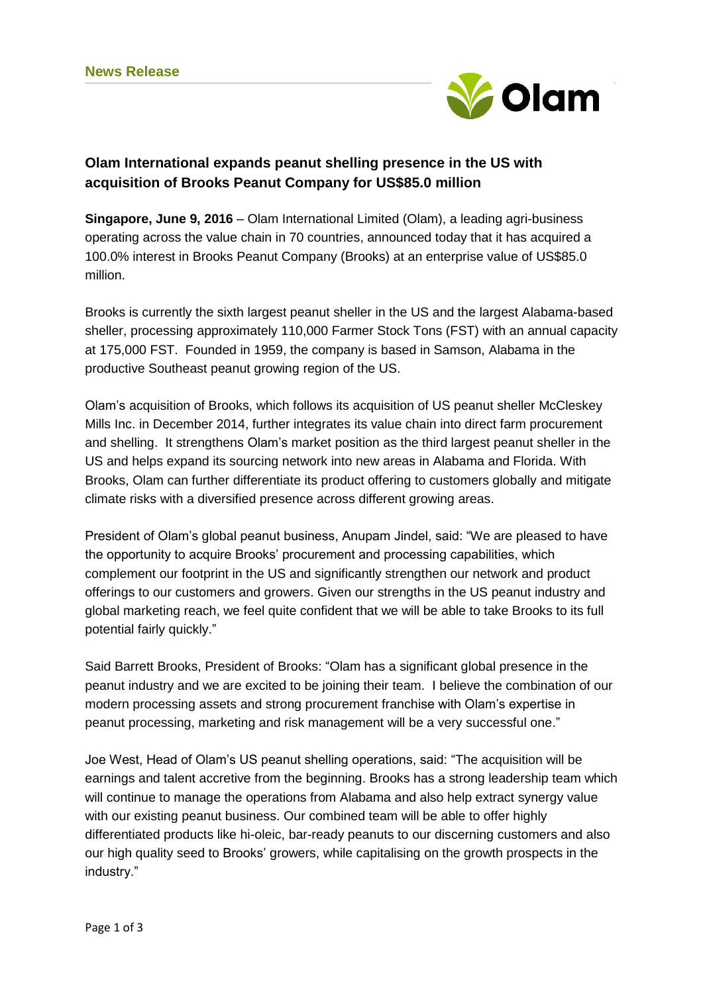

# **Olam International expands peanut shelling presence in the US with acquisition of Brooks Peanut Company for US\$85.0 million**

**Singapore, June 9, 2016** – Olam International Limited (Olam), a leading agri-business operating across the value chain in 70 countries, announced today that it has acquired a 100.0% interest in Brooks Peanut Company (Brooks) at an enterprise value of US\$85.0 million.

Brooks is currently the sixth largest peanut sheller in the US and the largest Alabama-based sheller, processing approximately 110,000 Farmer Stock Tons (FST) with an annual capacity at 175,000 FST. Founded in 1959, the company is based in Samson, Alabama in the productive Southeast peanut growing region of the US.

Olam's acquisition of Brooks, which follows its acquisition of US peanut sheller McCleskey Mills Inc. in December 2014, further integrates its value chain into direct farm procurement and shelling. It strengthens Olam's market position as the third largest peanut sheller in the US and helps expand its sourcing network into new areas in Alabama and Florida. With Brooks, Olam can further differentiate its product offering to customers globally and mitigate climate risks with a diversified presence across different growing areas.

President of Olam's global peanut business, Anupam Jindel, said: "We are pleased to have the opportunity to acquire Brooks' procurement and processing capabilities, which complement our footprint in the US and significantly strengthen our network and product offerings to our customers and growers. Given our strengths in the US peanut industry and global marketing reach, we feel quite confident that we will be able to take Brooks to its full potential fairly quickly."

Said Barrett Brooks, President of Brooks: "Olam has a significant global presence in the peanut industry and we are excited to be joining their team. I believe the combination of our modern processing assets and strong procurement franchise with Olam's expertise in peanut processing, marketing and risk management will be a very successful one."

Joe West, Head of Olam's US peanut shelling operations, said: "The acquisition will be earnings and talent accretive from the beginning. Brooks has a strong leadership team which will continue to manage the operations from Alabama and also help extract synergy value with our existing peanut business. Our combined team will be able to offer highly differentiated products like hi-oleic, bar-ready peanuts to our discerning customers and also our high quality seed to Brooks' growers, while capitalising on the growth prospects in the industry."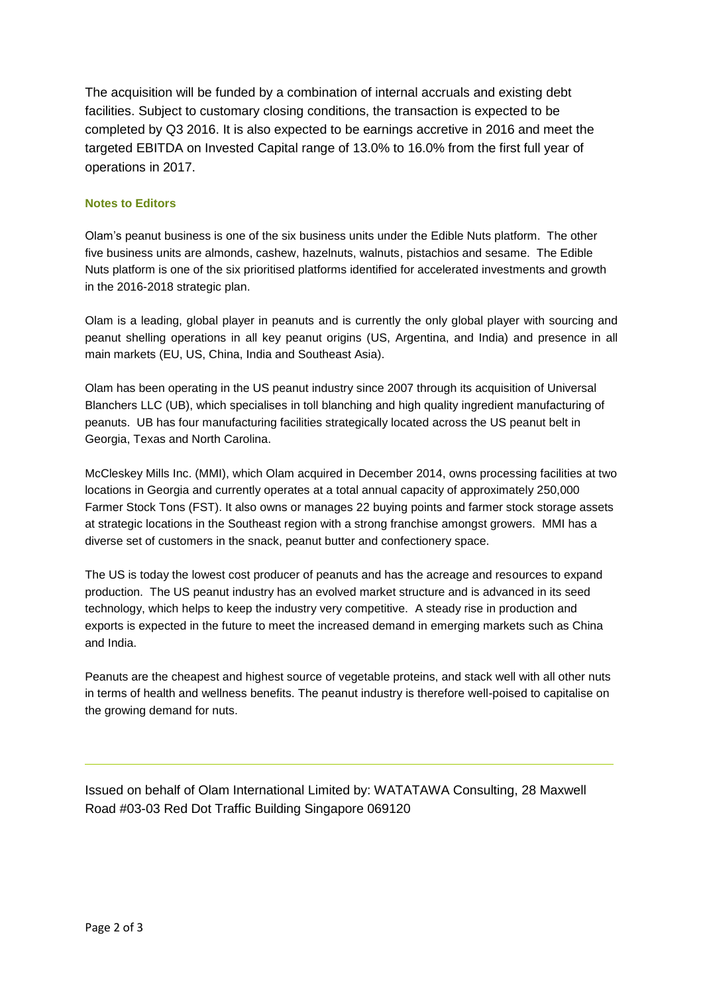The acquisition will be funded by a combination of internal accruals and existing debt facilities. Subject to customary closing conditions, the transaction is expected to be completed by Q3 2016. It is also expected to be earnings accretive in 2016 and meet the targeted EBITDA on Invested Capital range of 13.0% to 16.0% from the first full year of operations in 2017.

### **Notes to Editors**

Olam's peanut business is one of the six business units under the Edible Nuts platform. The other five business units are almonds, cashew, hazelnuts, walnuts, pistachios and sesame. The Edible Nuts platform is one of the six prioritised platforms identified for accelerated investments and growth in the 2016-2018 strategic plan.

Olam is a leading, global player in peanuts and is currently the only global player with sourcing and peanut shelling operations in all key peanut origins (US, Argentina, and India) and presence in all main markets (EU, US, China, India and Southeast Asia).

Olam has been operating in the US peanut industry since 2007 through its acquisition of Universal Blanchers LLC (UB), which specialises in toll blanching and high quality ingredient manufacturing of peanuts. UB has four manufacturing facilities strategically located across the US peanut belt in Georgia, Texas and North Carolina.

McCleskey Mills Inc. (MMI), which Olam acquired in December 2014, owns processing facilities at two locations in Georgia and currently operates at a total annual capacity of approximately 250,000 Farmer Stock Tons (FST). It also owns or manages 22 buying points and farmer stock storage assets at strategic locations in the Southeast region with a strong franchise amongst growers. MMI has a diverse set of customers in the snack, peanut butter and confectionery space.

The US is today the lowest cost producer of peanuts and has the acreage and resources to expand production. The US peanut industry has an evolved market structure and is advanced in its seed technology, which helps to keep the industry very competitive. A steady rise in production and exports is expected in the future to meet the increased demand in emerging markets such as China and India.

Peanuts are the cheapest and highest source of vegetable proteins, and stack well with all other nuts in terms of health and wellness benefits. The peanut industry is therefore well-poised to capitalise on the growing demand for nuts.

Issued on behalf of Olam International Limited by: WATATAWA Consulting, 28 Maxwell Road #03-03 Red Dot Traffic Building Singapore 069120